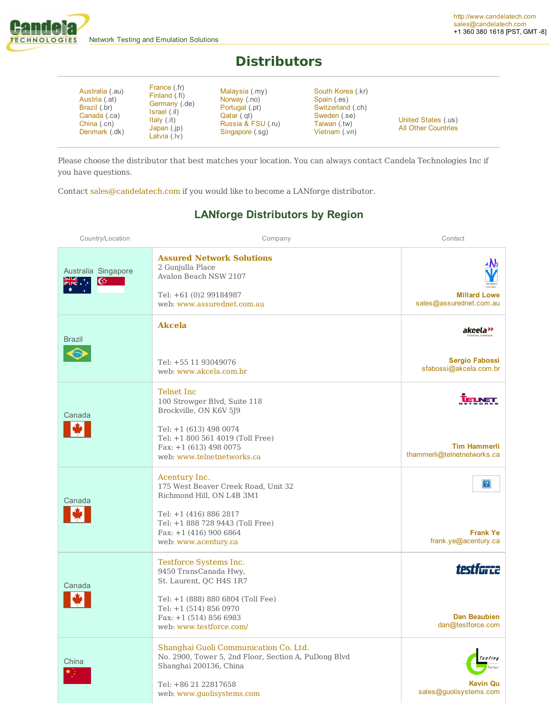

## **Distributors**

| Australia (.au)<br>Austria (.at)<br>Brazil (.br)<br>Canada (.ca)<br>China (.cn)<br>Denmark (.dk) | France (.fr)<br>Finland (fi)<br>Germany (.de)<br>Israel (.il)<br>Italy (.it)<br>Japan $(i)$<br>Latvia $($ . $ v)$ | Malaysia (.my)<br>Norway (.no)<br>Portugal (.pt)<br>Qatar (.gt)<br>Russia & FSU (.ru)<br>Singapore (.sq) | South Korea (.kr)<br>Spain (.es)<br>Switzerland (.ch)<br>Sweden (.se)<br>Taiwan (.tw)<br>Vietnam (.vn) | United States (.us)<br><b>All Other Countries</b> |
|--------------------------------------------------------------------------------------------------|-------------------------------------------------------------------------------------------------------------------|----------------------------------------------------------------------------------------------------------|--------------------------------------------------------------------------------------------------------|---------------------------------------------------|
|--------------------------------------------------------------------------------------------------|-------------------------------------------------------------------------------------------------------------------|----------------------------------------------------------------------------------------------------------|--------------------------------------------------------------------------------------------------------|---------------------------------------------------|

Please choose the distributor that best matches your location. You can always contact Candela Technologies Inc if you have questions.

Contact sales@candelatech.com if you would like to become a LANforge distributor.

| Country/Location                | Company                                                                                                                                                                                             | Contact                                                    |
|---------------------------------|-----------------------------------------------------------------------------------------------------------------------------------------------------------------------------------------------------|------------------------------------------------------------|
| Australia Singapore<br><b>K</b> | <b>Assured Network Solutions</b><br>2 Gunjulla Place<br>Avalon Beach NSW 2107<br>Tel: +61 (0)2 99184987<br>web: www.assurednet.com.au                                                               | 4 A.Is<br><b>Millard Lowe</b><br>sales@assurednet.com.au   |
| Brazil                          | <b>Akcela</b><br>Tel: +55 11 93049076<br>web: www.akcela.com.br                                                                                                                                     | akcela"<br><b>Sergio Fabossi</b><br>sfabossi@akcela.com.br |
| Canada                          | Telnet Inc<br>100 Strowger Blvd, Suite 118<br>Brockville, ON K6V 5J9<br>Tel: +1 (613) 498 0074<br>Tel: +1 800 561 4019 (Toll Free)<br>Fax: $+1$ (613) 498 0075<br>web: www.telnetnetworks.ca        | <b>Tim Hammerli</b><br>thammerli@telnetnetworks.ca         |
| Canada                          | Acentury Inc.<br>175 West Beaver Creek Road, Unit 32<br>Richmond Hill, ON L4B 3M1<br>Tel: +1 (416) 886 2817<br>Tel: +1 888 728 9443 (Toll Free)<br>Fax: $+1$ (416) 900 6864<br>web: www.acentury.ca | $\mathbf{?}$<br><b>Frank Ye</b><br>frank.ye@acentury.ca    |
| Canada                          | Testforce Systems Inc.<br>9450 TransCanada Hwy,<br>St. Laurent, QC H4S 1R7<br>Tel: +1 (888) 880 6804 (Toll Fee)<br>Tel: +1 (514) 856 0970<br>Fax: $+1$ (514) 856 6983<br>web: www.testforce.com/    | testfarce<br><b>Dan Beaubien</b><br>dan@testforce.com      |
| China                           | Shanghai Guoli Communication Co. Ltd.<br>No. 2900, Tower 5, 2nd Floor, Section A, PuDong Blvd<br>Shanghai 200136, China<br>Tel: +86 21 22817658<br>web: www.guolisystems.com                        | <b>Kevin Qu</b><br>sales@guolisystems.com                  |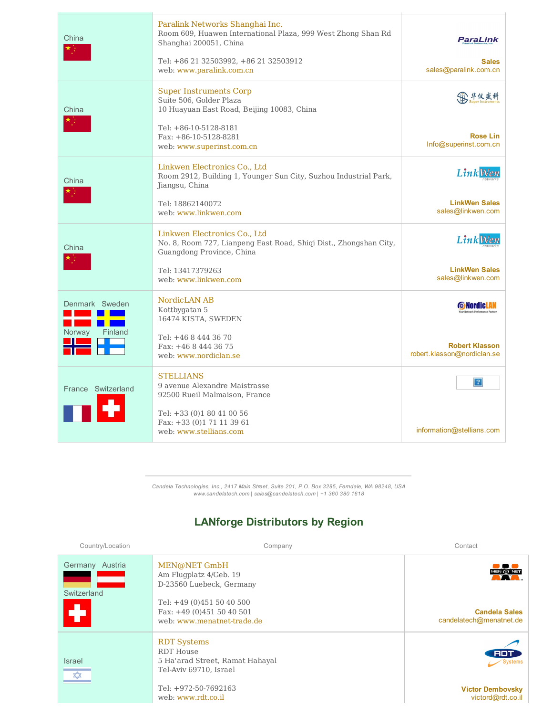| China              | Paralink Networks Shanghai Inc.<br>Room 609, Huawen International Plaza, 999 West Zhong Shan Rd<br>Shanghai 200051, China<br>Tel: +86 21 32503992, +86 21 32503912 | <b>ParaLink</b><br><b>Sales</b>                       |
|--------------------|--------------------------------------------------------------------------------------------------------------------------------------------------------------------|-------------------------------------------------------|
|                    | web: www.paralink.com.cn                                                                                                                                           | sales@paralink.com.cn                                 |
| China              | <b>Super Instruments Corp</b><br>Suite 506, Golder Plaza<br>10 Huayuan East Road, Beijing 10083, China                                                             |                                                       |
|                    | Tel: +86-10-5128-8181<br>Fax: $+86-10-5128-8281$<br>web: www.superinst.com.cn                                                                                      | <b>Rose Lin</b><br>Info@superinst.com.cn              |
| China              | Linkwen Electronics Co., Ltd<br>Room 2912, Building 1, Younger Sun City, Suzhou Industrial Park,<br>Jiangsu, China                                                 | <b>LinkWen</b>                                        |
|                    | Tel: 18862140072<br>web: www.linkwen.com                                                                                                                           | <b>LinkWen Sales</b><br>sales@linkwen.com             |
| China              | Linkwen Electronics Co., Ltd<br>No. 8, Room 727, Lianpeng East Road, Shiqi Dist., Zhongshan City,<br>Guangdong Province, China                                     | <b>LinkWer</b>                                        |
|                    | Tel: 13417379263<br>web: www.linkwen.com                                                                                                                           | <b>LinkWen Sales</b><br>sales@linkwen.com             |
| Denmark Sweden     | NordicLAN AB<br>Kottbygatan 5<br>16474 KISTA, SWEDEN                                                                                                               | <b>O</b> Nordic L<br><b>Network Performance Parts</b> |
| Norway<br>Finland  | Tel: +46 8 444 36 70<br>Fax: +46 8 444 36 75<br>web: www.nordiclan.se                                                                                              | <b>Robert Klasson</b><br>robert.klasson@nordiclan.se  |
| France Switzerland | <b>STELLIANS</b><br>9 avenue Alexandre Maistrasse<br>92500 Rueil Malmaison, France                                                                                 | 2                                                     |
|                    | Tel: +33 (0)1 80 41 00 56<br>Fax: +33 (0)1 71 11 39 61<br>web: www.stellians.com                                                                                   | information@stellians.com                             |

Candela Technologies, Inc., 2417 Main Street, Suite 201, P.O. Box 3285, Ferndale, WA 98248, USA<br>www.candelatech.com | sales@candelatech.com | +1 360 380 1618

| Country/Location                   | Company                                                                                             | Contact                                         |
|------------------------------------|-----------------------------------------------------------------------------------------------------|-------------------------------------------------|
| Germany Austria<br>Switzerland     | MEN@NET GmbH<br>Am Flugplatz 4/Geb. 19<br>D-23560 Luebeck, Germany                                  | MEN @ NET<br>N.W.                               |
|                                    | Tel: $+49(0)4515040500$<br>Fax: +49 (0)451 50 40 501<br>web: www.menatnet-trade.de                  | <b>Candela Sales</b><br>candelatech@menatnet.de |
| <b>Israel</b><br>$\overline{\ast}$ | <b>RDT Systems</b><br><b>RDT</b> House<br>5 Ha'arad Street, Ramat Hahayal<br>Tel-Aviv 69710, Israel | RDT<br><b>Systems</b>                           |
|                                    | Tel: +972-50-7692163<br>web: www.rdt.co.il                                                          | <b>Victor Dembovsky</b><br>victord@rdt.co.il    |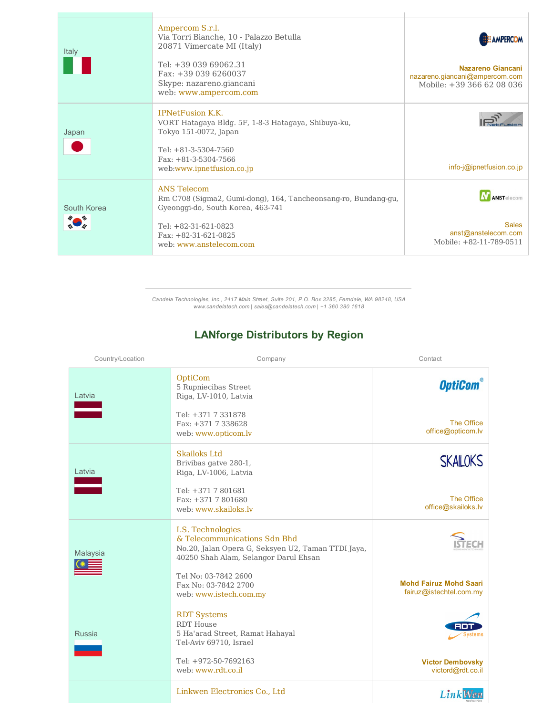| Italy       | Ampercom S.r.l.<br>Via Torri Bianche, 10 - Palazzo Betulla<br>20871 Vimercate MI (Italy)<br>Tel: $+3903969062.31$<br>Fax: +39 039 6260037<br>Skype: nazareno.giancani | <b>HALL AMPERCOM</b><br>Nazareno Giancani<br>nazareno.giancani@ampercom.com<br>Mobile: +39 366 62 08 036 |
|-------------|-----------------------------------------------------------------------------------------------------------------------------------------------------------------------|----------------------------------------------------------------------------------------------------------|
|             | web: www.ampercom.com                                                                                                                                                 |                                                                                                          |
| Japan       | <b>IPNetFusion K.K.</b><br>VORT Hatagaya Bldg. 5F, 1-8-3 Hatagaya, Shibuya-ku,<br>Tokyo 151-0072, Japan                                                               |                                                                                                          |
|             | Tel: $+81-3-5304-7560$<br>Fax: $+81-3-5304-7566$<br>web:www.ipnetfusion.co.jp                                                                                         | $info$ - $\phi$ ipnetfusion.co.jp                                                                        |
| South Korea | <b>ANS Telecom</b><br>Rm C708 (Sigma2, Gumi-dong), 164, Tancheonsang-ro, Bundang-gu,<br>Gyeonggi-do, South Korea, 463-741                                             | ANSTelecom                                                                                               |
|             | Tel: $+82-31-621-0823$<br>Fax: $+82-31-621-0825$<br>web: www.anstelecom.com                                                                                           | <b>Sales</b><br>anst@anstelecom.com<br>Mobile: +82-11-789-0511                                           |

 $\Gamma$ 

Candela Technologies, Inc., 2417 Main Street, Suite 201, P.O. Box 3285, Ferndale, WA 98248, USA<br>www.candelatech.com | sales@candelatech.com | +1 360 380 1618

| Country/Location | Company                                                                                                                                          | Contact                                                  |
|------------------|--------------------------------------------------------------------------------------------------------------------------------------------------|----------------------------------------------------------|
| Latvia           | OptiCom<br>5 Rupniecibas Street<br>Riga, LV-1010, Latvia                                                                                         | <b>OptiCom</b>                                           |
|                  | Tel: +371 7 331878<br>Fax: +371 7 338628<br>web: www.opticom.lv                                                                                  | The Office<br>office@opticom.lv                          |
| Latvia           | <b>Skailoks Ltd</b><br>Brivibas gatve 280-1,<br>Riga, LV-1006, Latvia                                                                            | <b>SKAILOKS</b>                                          |
|                  | Tel: +371 7 801681<br>Fax: +371 7 801680<br>web: www.skailoks.lv                                                                                 | The Office<br>office@skailoks.lv                         |
| Malaysia         | I.S. Technologies<br>& Telecommunications Sdn Bhd<br>No.20, Jalan Opera G, Seksyen U2, Taman TTDI Jaya,<br>40250 Shah Alam, Selangor Darul Ehsan |                                                          |
|                  | Tel No: 03-7842 2600<br>Fax No: 03-7842 2700<br>web: www.istech.com.my                                                                           | <b>Mohd Fairuz Mohd Saari</b><br>fairuz@istechtel.com.my |
| <b>Russia</b>    | <b>RDT</b> Systems<br><b>RDT</b> House<br>5 Ha'arad Street, Ramat Hahayal<br>Tel-Aviv 69710, Israel                                              |                                                          |
|                  | Tel: +972-50-7692163<br>web: www.rdt.co.il                                                                                                       | <b>Victor Dembovsky</b><br>victord@rdt.co.il             |
|                  | Linkwen Electronics Co., Ltd                                                                                                                     | Link                                                     |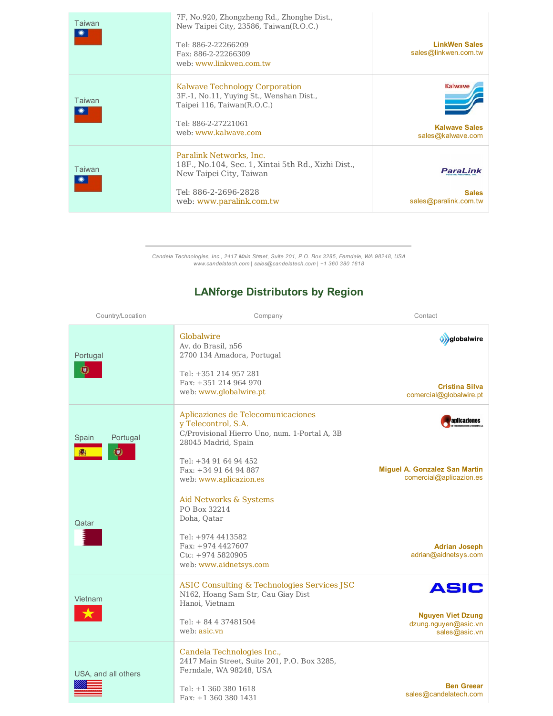| Taiwan | 7F, No.920, Zhongzheng Rd., Zhonghe Dist.,<br>New Taipei City, 23586, Taiwan(R.O.C.)<br>Tel: 886-2-22266209<br>Fax: 886-2-22266309<br>web: www.linkwen.com.tw | <b>LinkWen Sales</b><br>sales@linkwen.com.tw                |
|--------|---------------------------------------------------------------------------------------------------------------------------------------------------------------|-------------------------------------------------------------|
| Taiwan | Kalwave Technology Corporation<br>3F.-1, No.11, Yuying St., Wenshan Dist.,<br>Taipei 116, Taiwan(R.O.C.)<br>Tel: 886-2-27221061<br>web: www.kalwaye.com       | <b>Kalwave</b><br><b>Kalwave Sales</b><br>sales@kalwave.com |
| Taiwan | Paralink Networks, Inc.<br>18F., No.104, Sec. 1, Xintai 5th Rd., Xizhi Dist.,<br>New Taipei City, Taiwan<br>Tel: 886-2-2696-2828<br>web: www.paralink.com.tw  | <b>ParaLink</b><br><b>Sales</b><br>sales@paralink.com.tw    |

Candela Technologies, Inc., 2417 Main Street, Suite 201, P.O. Box 3285, Ferndale, WA 98248, USA<br>www.candelatech.com | sales@candelatech.com | +1 360 380 1618

| Country/Location             | Company                                                                                                                                    | Contact                                                           |
|------------------------------|--------------------------------------------------------------------------------------------------------------------------------------------|-------------------------------------------------------------------|
| Portugal<br>思                | Globalwire<br>Av. do Brasil, n56<br>2700 134 Amadora, Portugal<br>Tel: +351 214 957 281<br>Fax: +351 214 964 970<br>web: www.globalwire.pt | o) globalwire<br><b>Cristina Silva</b>                            |
|                              |                                                                                                                                            | comercial@globalwire.pt                                           |
| Portugal<br>Spain<br>$\circ$ | Aplicaziones de Telecomunicaciones<br>y Telecontrol, S.A.<br>C/Provisional Hierro Uno, num. 1-Portal A, 3B<br>28045 Madrid, Spain          | aplicaziones                                                      |
|                              | Tel: +34 91 64 94 452<br>Fax: +34 91 64 94 887<br>web: www.aplicazion.es                                                                   | Miguel A. Gonzalez San Martin<br>comercial@aplicazion.es          |
| Qatar                        | Aid Networks & Systems<br>PO Box 32214<br>Doha, Qatar                                                                                      |                                                                   |
|                              | Tel: +974 4413582<br>Fax: +974 4427607<br>Ctc: +974 5820905<br>web: www.aidnetsys.com                                                      | <b>Adrian Joseph</b><br>adrian@aidnetsys.com                      |
| Vietnam                      | ASIC Consulting & Technologies Services JSC<br>N162, Hoang Sam Str, Cau Giay Dist<br>Hanoi, Vietnam                                        | ASIC                                                              |
|                              | Tel: $+ 84437481504$<br>web: asic.vn                                                                                                       | <b>Nguyen Viet Dzung</b><br>dzung.nguyen@asic.vn<br>sales@asic.vn |
| USA, and all others          | Candela Technologies Inc.,<br>2417 Main Street, Suite 201, P.O. Box 3285,<br>Ferndale, WA 98248, USA                                       |                                                                   |
|                              | Tel: +1 360 380 1618<br>Fax: +1 360 380 1431                                                                                               | <b>Ben Greear</b><br>sales@candelatech.com                        |